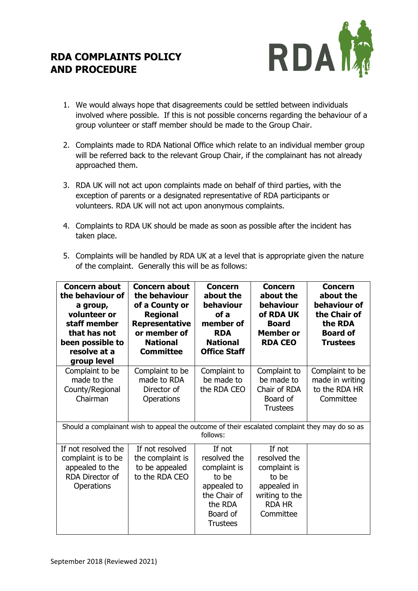## **RDA COMPLAINTS POLICY AND PROCEDURE**



- 1. We would always hope that disagreements could be settled between individuals involved where possible. If this is not possible concerns regarding the behaviour of a group volunteer or staff member should be made to the Group Chair.
- 2. Complaints made to RDA National Office which relate to an individual member group will be referred back to the relevant Group Chair, if the complainant has not already approached them.
- 3. RDA UK will not act upon complaints made on behalf of third parties, with the exception of parents or a designated representative of RDA participants or volunteers. RDA UK will not act upon anonymous complaints.
- 4. Complaints to RDA UK should be made as soon as possible after the incident has taken place.
- 5. Complaints will be handled by RDA UK at a level that is appropriate given the nature of the complaint. Generally this will be as follows:

| <b>Concern about</b><br>the behaviour of<br>a group,<br>volunteer or<br>staff member<br>that has not<br>been possible to<br>resolve at a<br>group level | <b>Concern about</b><br>the behaviour<br>of a County or<br><b>Regional</b><br><b>Representative</b><br>or member of<br><b>National</b><br><b>Committee</b> | <b>Concern</b><br>about the<br>behaviour<br>of a<br>member of<br><b>RDA</b><br><b>National</b><br><b>Office Staff</b>    | <b>Concern</b><br>about the<br>behaviour<br>of RDA UK<br><b>Board</b><br><b>Member or</b><br><b>RDA CEO</b>    | <b>Concern</b><br>about the<br>behaviour of<br>the Chair of<br>the RDA<br><b>Board of</b><br><b>Trustees</b> |
|---------------------------------------------------------------------------------------------------------------------------------------------------------|------------------------------------------------------------------------------------------------------------------------------------------------------------|--------------------------------------------------------------------------------------------------------------------------|----------------------------------------------------------------------------------------------------------------|--------------------------------------------------------------------------------------------------------------|
| Complaint to be<br>made to the<br>County/Regional<br>Chairman                                                                                           | Complaint to be<br>made to RDA<br>Director of<br>Operations                                                                                                | Complaint to<br>be made to<br>the RDA CEO                                                                                | Complaint to<br>be made to<br>Chair of RDA<br>Board of<br><b>Trustees</b>                                      | Complaint to be<br>made in writing<br>to the RDA HR<br>Committee                                             |
| Should a complainant wish to appeal the outcome of their escalated complaint they may do so as<br>follows:                                              |                                                                                                                                                            |                                                                                                                          |                                                                                                                |                                                                                                              |
| If not resolved the<br>complaint is to be<br>appealed to the<br>RDA Director of<br><b>Operations</b>                                                    | If not resolved<br>the complaint is<br>to be appealed<br>to the RDA CEO                                                                                    | If not<br>resolved the<br>complaint is<br>to be<br>appealed to<br>the Chair of<br>the RDA<br>Board of<br><b>Trustees</b> | If not<br>resolved the<br>complaint is<br>to be<br>appealed in<br>writing to the<br><b>RDA HR</b><br>Committee |                                                                                                              |